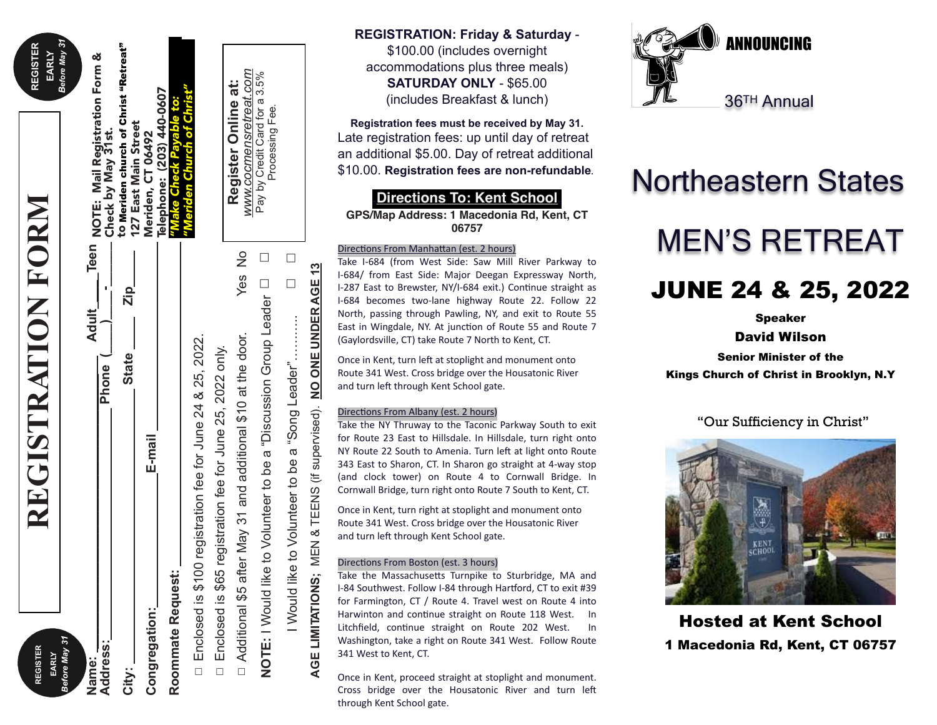| <b>REGISTER</b><br>EARLY | REGISTRATION FORM                                                              | <b>REGISTER</b><br>EARLY                                             |
|--------------------------|--------------------------------------------------------------------------------|----------------------------------------------------------------------|
| Before May 31            |                                                                                | Before May 31                                                        |
| Name:                    | Adult                                                                          |                                                                      |
| <b>Address:</b>          | Phone (                                                                        | _Teen NOTE: Mail Registration Form &<br>_________ Check by May 31st. |
| City:                    | Zip_<br><b>State</b>                                                           | to Meriden church of Christ "Retreat"<br>127 East Main Street        |
| Congregation:            | E-mail                                                                         | Meriden, CT 06492                                                    |
| Roommate Request:        |                                                                                | Telephone: (203) 440-0607<br>"Make Check Payable to:                 |
| □ Enclosed is \$100      | registration fee for June 24 & 25, 2022.                                       | 'Meriden Church of Christ"                                           |
|                          | □ Enclosed is \$65 registration fee for June 25, 2022 only.                    |                                                                      |
|                          |                                                                                |                                                                      |
| □ Additional \$5 after   | Yes No<br>May 31 and additional \$10 at the door.                              | www.cocmensretreat.com<br>Register Online at:                        |
|                          | <b>NOTE:</b> I Would like to Volunteer to be a "Discussion Group Leader $\Box$ | Pay by Credit Card for a 3.5%<br>Processing Fee.                     |
|                          |                                                                                |                                                                      |

I Would like to Volunteer to be a "Song Leader"………..

Would like to Volunteer to be

a "Song Leader"...

**AGE LIMITATIONS;** MEN & TEENS (if supervised). **NO ONE UNDER AGE 13**

LIMITATIONS; MEN & TEENS (if supervised).

AGE

□

 $\frac{3}{2}$ 

NO ONE UNDER AGE

□

\$100.00 (includes overnight accommodations plus three meals) **SATURDAY ONLY** - \$65.00 (includes Breakfast & lunch)

**Registration fees must be received by May 31.** Late registration fees: up until day of retreat an additional \$5.00. Day of retreat additional \$10.00. **Registration fees are non-refundable.**

### **.Directions To: Kent School.**

**GPS/Map Address: 1 Macedonia Rd, Kent, CT 06757**

#### Directions From Manhattan (est. 2 hours)

Take I-684 (from West Side: Saw Mill River Parkway to I-684/ from East Side: Major Deegan Expressway North, I-287 East to Brewster, NY/I-684 exit.) Continue straight as I-684 becomes two-lane highway Route 22. Follow 22 North, passing through Pawling, NY, and exit to Route 55 East in Wingdale, NY. At junction of Route 55 and Route 7 (Gaylordsville, CT) take Route 7 North to Kent, CT.

Once in Kent, turn left at stoplight and monument onto Route 341 West. Cross bridge over the Housatonic River and turn left through Kent School gate.

#### Directions From Albany (est. 2 hours)

Take the NY Thruway to the Taconic Parkway South to exit for Route 23 East to Hillsdale. In Hillsdale, turn right onto NY Route 22 South to Amenia. Turn left at light onto Route 343 East to Sharon, CT. In Sharon go straight at 4-way stop (and clock tower) on Route 4 to Cornwall Bridge. In Cornwall Bridge, turn right onto Route 7 South to Kent, CT.

Once in Kent, turn right at stoplight and monument onto Route 341 West. Cross bridge over the Housatonic River and turn left through Kent School gate.

#### Directions From Boston (est. 3 hours)

Take the Massachusetts Turnpike to Sturbridge, MA and I-84 Southwest. Follow I-84 through Hartford, CT to exit #39 for Farmington, CT / Route 4. Travel west on Route 4 into Harwinton and continue straight on Route 118 West. In Litchfield, continue straight on Route 202 West. In Washington, take a right on Route 341 West. Follow Route 341 West to Kent, CT.

Once in Kent, proceed straight at stoplight and monument. Cross bridge over the Housatonic River and turn left through Kent School gate.



# Northeastern States MEN'S RETREAT

# JUNE 24 & 25, 2022

Speaker

David Wilson

Senior Minister of the

Kings Church of Christ in Brooklyn, N.Y

#### "Our Sufficiency in Christ"



Hosted at Kent School 1 Macedonia Rd, Kent, CT 06757